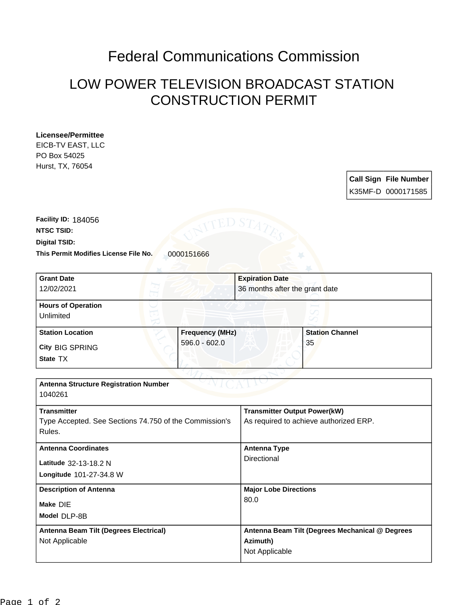## Federal Communications Commission

## LOW POWER TELEVISION BROADCAST STATION CONSTRUCTION PERMIT

## **Licensee/Permittee**

EICB-TV EAST, LLC PO Box 54025 Hurst, TX, 76054

| <b>Call Sign File Number</b> |
|------------------------------|
| K35MF-D 0000171585           |

This Permit Modifies License File No. 0000151666 **Digital TSID: NTSC TSID: Facility ID:** 184056

| 36 months after the grant date                   |
|--------------------------------------------------|
|                                                  |
|                                                  |
| <b>Frequency (MHz)</b><br><b>Station Channel</b> |
| 35                                               |
|                                                  |
|                                                  |
|                                                  |
|                                                  |
| <b>Transmitter Output Power(kW)</b>              |
| As required to achieve authorized ERP.           |
|                                                  |
| <b>Antenna Type</b>                              |
| Directional                                      |
|                                                  |
| <b>Major Lobe Directions</b>                     |
| 80.0                                             |
|                                                  |
| Antenna Beam Tilt (Degrees Mechanical @ Degrees  |
| Azimuth)                                         |
| Not Applicable                                   |
|                                                  |